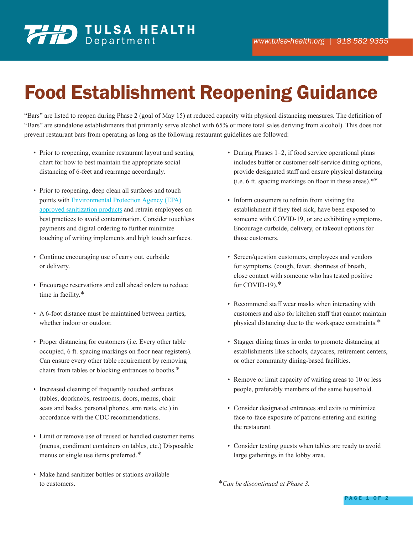## Food Establishment Reopening Guidance

"Bars" are listed to reopen during Phase 2 (goal of May 15) at reduced capacity with physical distancing measures. The definition of "Bars" are standalone establishments that primarily serve alcohol with 65% or more total sales deriving from alcohol). This does not prevent restaurant bars from operating as long as the following restaurant guidelines are followed:

- Prior to reopening, examine restaurant layout and seating chart for how to best maintain the appropriate social distancing of 6-feet and rearrange accordingly.
- Prior to reopening, deep clean all surfaces and touch points with Environmental Protection Agency (EPA) approved sanitization products and retrain employees on best practices to avoid contamination. Consider touchless payments and digital ordering to further minimize touching of writing implements and high touch surfaces.
- Continue encouraging use of carry out, curbside or delivery.
- Encourage reservations and call ahead orders to reduce time in facility.\*
- A 6-foot distance must be maintained between parties, whether indoor or outdoor.
- Proper distancing for customers (i.e. Every other table occupied, 6 ft. spacing markings on floor near registers). Can ensure every other table requirement by removing chairs from tables or blocking entrances to booths.\*
- Increased cleaning of frequently touched surfaces (tables, doorknobs, restrooms, doors, menus, chair seats and backs, personal phones, arm rests, etc.) in accordance with the CDC recommendations.
- Limit or remove use of reused or handled customer items (menus, condiment containers on tables, etc.) Disposable menus or single use items preferred.\*
- Make hand sanitizer bottles or stations available to customers.
- During Phases 1–2, if food service operational plans includes buffet or customer self-service dining options, provide designated staff and ensure physical distancing (i.e. 6 ft. spacing markings on floor in these areas).\*\*
- Inform customers to refrain from visiting the establishment if they feel sick, have been exposed to someone with COVID-19, or are exhibiting symptoms. Encourage curbside, delivery, or takeout options for those customers.
- Screen/question customers, employees and vendors for symptoms. (cough, fever, shortness of breath, close contact with someone who has tested positive for COVID-19).\*
- Recommend staff wear masks when interacting with customers and also for kitchen staff that cannot maintain physical distancing due to the workspace constraints.\*
- Stagger dining times in order to promote distancing at establishments like schools, daycares, retirement centers, or other community dining-based facilities.
- Remove or limit capacity of waiting areas to 10 or less people, preferably members of the same household.
- Consider designated entrances and exits to minimize face-to-face exposure of patrons entering and exiting the restaurant.
- Consider texting guests when tables are ready to avoid large gatherings in the lobby area.

\**Can be discontinued at Phase 3.*